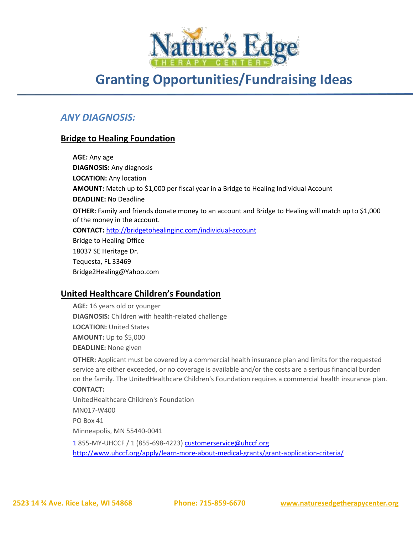

# **Granting Opportunities/Fundraising Ideas**

# *ANY DIAGNOSIS:*

### **Bridge to Healing Foundation**

**AGE:** Any age **DIAGNOSIS:** Any diagnosis **LOCATION:** Any location **AMOUNT:** Match up to \$1,000 per fiscal year in a Bridge to Healing Individual Account **DEADLINE:** No Deadline **OTHER:** Family and friends donate money to an account and Bridge to Healing will match up to \$1,000 of the money in the account. **CONTACT:** <http://bridgetohealinginc.com/individual-account> Bridge to Healing Office 18037 SE Heritage Dr. Tequesta, FL 33469 Bridge2Healing@Yahoo.com

### **United Healthcare Children's Foundation**

**AGE:** 16 years old or younger **DIAGNOSIS:** Children with health-related challenge **LOCATION: United States AMOUNT:** Up to \$5,000 **DEADLINE:** None given

**OTHER:** Applicant must be covered by a commercial health insurance plan and limits for the requested service are either exceeded, or no coverage is available and/or the costs are a serious financial burden on the family. The UnitedHealthcare Children's Foundation requires a commercial health insurance plan.

#### **CONTACT:**

UnitedHealthcare Children's Foundation MN017-W400 PO Box 41 Minneapolis, MN 55440-0041 1 855-MY-UHCCF / 1 (855-698-4223) [customerservice@uhccf.org](mailto:customerservice@uhccf.org)

<http://www.uhccf.org/apply/learn-more-about-medical-grants/grant-application-criteria/>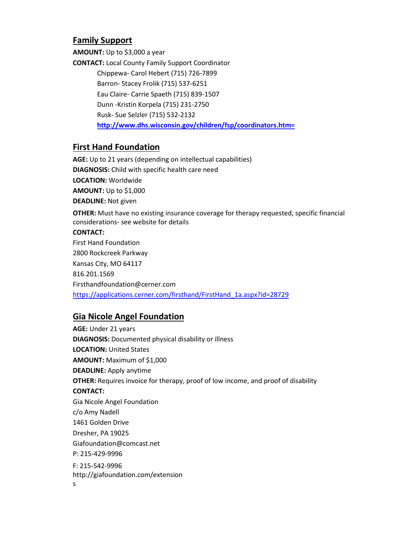### **Family Support**

**AMOUNT:** Up to \$3,000 a year

**CONTACT:** Local County Family Support Coordinator Chippewa- Carol Hebert (715) 726-7899 Barron- Stacey Frolik (715) 537-6251 Eau Claire- Carrie Spaeth (715) 839-1507 Dunn -Kristin Korpela (715) 231-2750 Rusk- Sue Selzler (715) 532-2132 **[http://www.dhs.wisconsin.gov/children/fsp/coordinators.htm=](http://www.dhs.wisconsin.gov/children/fsp/coordinators.htm)**

### **First Hand Foundation**

**AGE:** Up to 21 years (depending on intellectual capabilities) **DIAGNOSIS:** Child with specific health care need **LOCATION:** Worldwide **AMOUNT:** Up to \$1,000 **DEADLINE:** Not given **OTHER:** Must have no existing insurance coverage for therapy requested, specific financial considerations- see website for details **CONTACT:** First Hand Foundation 2800 Rockcreek Parkway Kansas City, MO 64117 816.201.1569 Firsthandfoundation@cerner.com [https://applications.cerner.com/firsthand/FirstHand\\_1a.aspx?id=28729](https://applications.cerner.com/firsthand/FirstHand_1a.aspx?id=28729)

### **Gia Nicole Angel Foundation**

**AGE:** Under 21 years **DIAGNOSIS:** Documented physical disability or illness **LOCATION:** United States **AMOUNT:** Maximum of \$1,000 **DEADLINE:** Apply anytime **OTHER:** Requires invoice for therapy, proof of low income, and proof of disability **CONTACT:** Gia Nicole Angel Foundation c/o Amy Nadell 1461 Golden Drive Dresher, PA 19025 Giafoundation@comcast.net P: 215-429-9996 F: 215-542-9996 http://giafoundation.com/extension s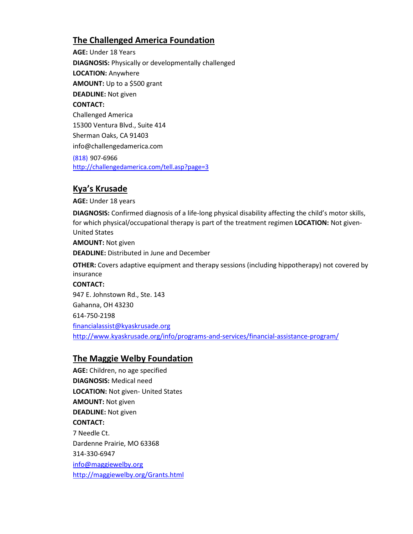## **The Challenged America Foundation**

**AGE:** Under 18 Years **DIAGNOSIS:** Physically or developmentally challenged **LOCATION:** Anywhere **AMOUNT:** Up to a \$500 grant **DEADLINE:** Not given **CONTACT:** Challenged America 15300 Ventura Blvd., Suite 414 Sherman Oaks, CA 91403 info@challengedamerica.com (818) 907-6966 <http://challengedamerica.com/tell.asp?page=3>

### **Kya's Krusade**

**AGE:** Under 18 years

**DIAGNOSIS:** Confirmed diagnosis of a life-long physical disability affecting the child's motor skills, for which physical/occupational therapy is part of the treatment regimen **LOCATION:** Not given-United States

**AMOUNT:** Not given **DEADLINE:** Distributed in June and December

**OTHER:** Covers adaptive equipment and therapy sessions (including hippotherapy) not covered by insurance

### **CONTACT:**

947 E. Johnstown Rd., Ste. 143 Gahanna, OH 43230 614-750-2198 [financialassist@kyaskrusade.org](mailto:financialassist@kyaskrusade.org) <http://www.kyaskrusade.org/info/programs-and-services/financial-assistance-program/>

### **The Maggie Welby Foundation**

**AGE:** Children, no age specified **DIAGNOSIS:** Medical need **LOCATION:** Not given- United States **AMOUNT:** Not given **DEADLINE:** Not given **CONTACT:** 7 Needle Ct. Dardenne Prairie, MO 63368 314-330-6947 [info@maggiewelby.org](mailto:info@maggiewelby.org) <http://maggiewelby.org/Grants.html>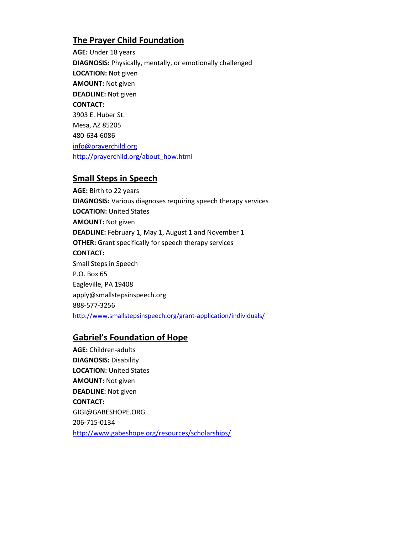## **The Prayer Child Foundation**

**AGE:** Under 18 years **DIAGNOSIS:** Physically, mentally, or emotionally challenged **LOCATION:** Not given **AMOUNT:** Not given **DEADLINE:** Not given **CONTACT:** 3903 E. Huber St. Mesa, AZ 85205 480-634-6086 [info@prayerchild.org](mailto:info@prayerchild.org) [http://prayerchild.org/about\\_how.html](http://prayerchild.org/about_how.html)

#### **Small Steps in Speech**

**AGE:** Birth to 22 years **DIAGNOSIS:** Various diagnoses requiring speech therapy services **LOCATION:** United States **AMOUNT:** Not given **DEADLINE:** February 1, May 1, August 1 and November 1 **OTHER:** Grant specifically for speech therapy services **CONTACT:** Small Steps in Speech P.O. Box 65 Eagleville, PA 19408 apply@smallstepsinspeech.org 888-577-3256 <http://www.smallstepsinspeech.org/grant-application/individuals/>

### **Gabriel's Foundation of Hope**

**AGE:** Children-adults **DIAGNOSIS:** Disability **LOCATION: United States AMOUNT:** Not given **DEADLINE:** Not given **CONTACT:** GIGI@GABESHOPE.ORG 206-715-0134 <http://www.gabeshope.org/resources/scholarships/>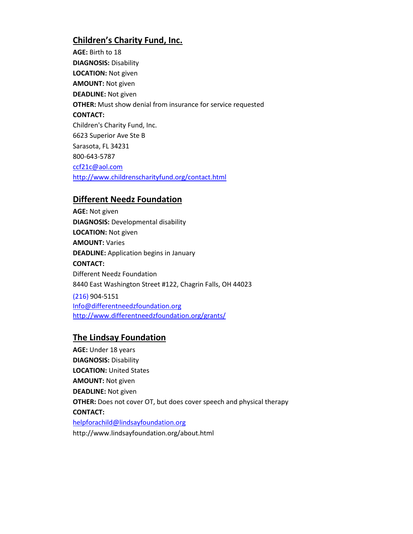## **Children's Charity Fund, Inc.**

**AGE:** Birth to 18 **DIAGNOSIS:** Disability **LOCATION:** Not given **AMOUNT:** Not given **DEADLINE:** Not given **OTHER:** Must show denial from insurance for service requested **CONTACT:** Children's Charity Fund, Inc. 6623 Superior Ave Ste B Sarasota, FL 34231 800-643-5787 [ccf21c@aol.com](mailto:ccf21c@aol.com) <http://www.childrenscharityfund.org/contact.html>

### **Different Needz Foundation**

**AGE:** Not given **DIAGNOSIS:** Developmental disability **LOCATION:** Not given **AMOUNT:** Varies **DEADLINE:** Application begins in January **CONTACT:** Different Needz Foundation 8440 East Washington Street #122, Chagrin Falls, OH 44023

(216) 904-5151 [Info@differentneedzfoundation.org](mailto:Info@differentneedzfoundation.org) <http://www.differentneedzfoundation.org/grants/>

### **The Lindsay Foundation**

**AGE:** Under 18 years **DIAGNOSIS:** Disability **LOCATION:** United States **AMOUNT:** Not given **DEADLINE:** Not given **OTHER:** Does not cover OT, but does cover speech and physical therapy **CONTACT:** [helpforachild@lindsayfoundation.org](mailto:helpforachild@lindsayfoundation.org) http://www.lindsayfoundation.org/about.html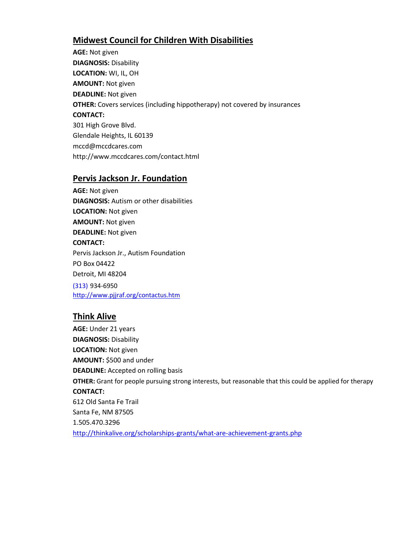### **Midwest Council for Children With Disabilities**

**AGE:** Not given **DIAGNOSIS:** Disability **LOCATION:** WI, IL, OH **AMOUNT:** Not given **DEADLINE:** Not given **OTHER:** Covers services (including hippotherapy) not covered by insurances **CONTACT:** 301 High Grove Blvd. Glendale Heights, IL 60139 mccd@mccdcares.com http://www.mccdcares.com/contact.html

#### **Pervis Jackson Jr. Foundation**

**AGE:** Not given **DIAGNOSIS:** Autism or other disabilities **LOCATION:** Not given **AMOUNT:** Not given **DEADLINE:** Not given **CONTACT:** Pervis Jackson Jr., Autism Foundation PO Box 04422 Detroit, MI 48204 (313) 934-6950 <http://www.pjjraf.org/contactus.htm>

### **Think Alive**

**AGE:** Under 21 years **DIAGNOSIS:** Disability **LOCATION:** Not given **AMOUNT:** \$500 and under **DEADLINE:** Accepted on rolling basis **OTHER:** Grant for people pursuing strong interests, but reasonable that this could be applied for therapy **CONTACT:** 612 Old Santa Fe Trail Santa Fe, NM 87505 1.505.470.3296 <http://thinkalive.org/scholarships-grants/what-are-achievement-grants.php>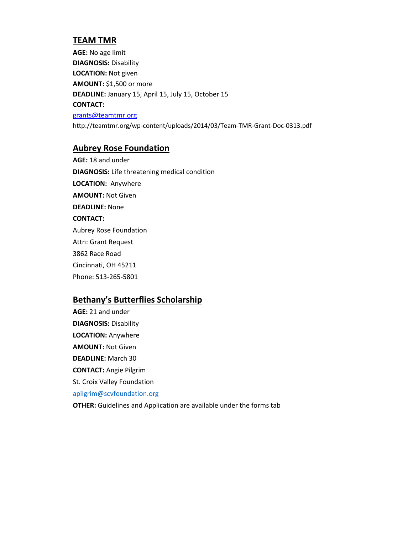### **TEAM TMR**

**AGE:** No age limit **DIAGNOSIS:** Disability **LOCATION:** Not given **AMOUNT:** \$1,500 or more **DEADLINE:** January 15, April 15, July 15, October 15 **CONTACT:** [grants@teamtmr.org](mailto:grants@teamtmr.org) http://teamtmr.org/wp-content/uploads/2014/03/Team-TMR-Grant-Doc-0313.pdf

#### **Aubrey Rose Foundation**

**AGE:** 18 and under **DIAGNOSIS:** Life threatening medical condition **LOCATION:** Anywhere **AMOUNT:** Not Given **DEADLINE:** None **CONTACT:** Aubrey Rose Foundation Attn: Grant Request 3862 Race Road Cincinnati, OH 45211 Phone: 513-265-5801

### **Bethany's Butterflies Scholarship**

**AGE:** 21 and under **DIAGNOSIS:** Disability **LOCATION:** Anywhere **AMOUNT:** Not Given **DEADLINE:** March 30 **CONTACT:** Angie Pilgrim St. Croix Valley Foundation [apilgrim@scvfoundation.org](mailto:apilgrim@scvfoundation.org) **OTHER:** Guidelines and Application are available under the forms tab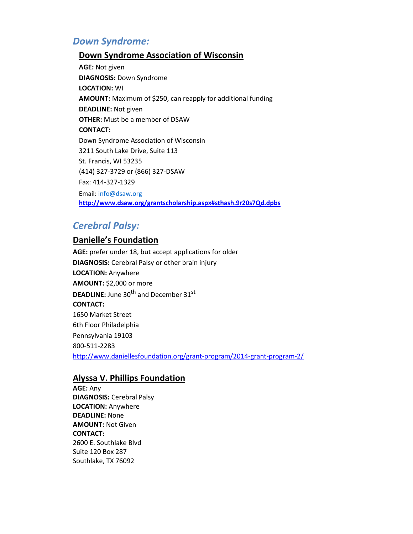# *Down Syndrome:*

### **Down Syndrome Association of Wisconsin**

**AGE:** Not given **DIAGNOSIS:** Down Syndrome **LOCATION:** WI **AMOUNT:** Maximum of \$250, can reapply for additional funding **DEADLINE:** Not given **OTHER:** Must be a member of DSAW **CONTACT:** Down Syndrome Association of Wisconsin 3211 South Lake Drive, Suite 113 St. Francis, WI 53235 (414) 327-3729 or (866) 327-DSAW Fax: 414-327-1329 Email[: info@dsaw.org](mailto:info@dsaw.org) **<http://www.dsaw.org/grantscholarship.aspx#sthash.9r20s7Qd.dpbs>**

# *Cerebral Palsy:*

### **Danielle's Foundation**

**AGE:** prefer under 18, but accept applications for older **DIAGNOSIS:** Cerebral Palsy or other brain injury **LOCATION:** Anywhere **AMOUNT:** \$2,000 or more **DEADLINE:** June 30<sup>th</sup> and December 31<sup>st</sup> **CONTACT:** 1650 Market Street 6th Floor Philadelphia Pennsylvania 19103 800-511-2283 <http://www.daniellesfoundation.org/grant-program/2014-grant-program-2/>

### **Alyssa V. Phillips Foundation**

**AGE:** Any **DIAGNOSIS:** Cerebral Palsy **LOCATION:** Anywhere **DEADLINE:** None **AMOUNT:** Not Given **CONTACT:** 2600 E. Southlake Blvd Suite 120 Box 287 Southlake, TX 76092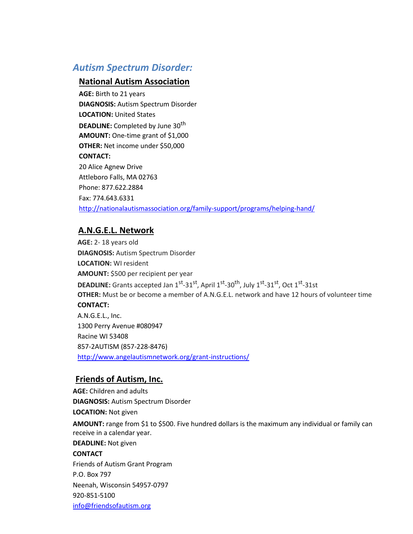# *Autism Spectrum Disorder:*

#### **National Autism Association**

**AGE:** Birth to 21 years **DIAGNOSIS:** Autism Spectrum Disorder **LOCATION:** United States **DEADLINE:** Completed by June 30<sup>th</sup> **AMOUNT:** One-time grant of \$1,000 **OTHER:** Net income under \$50,000 **CONTACT:** 20 Alice Agnew Drive Attleboro Falls, MA 02763 Phone: 877.622.2884 Fax: 774.643.6331 <http://nationalautismassociation.org/family-support/programs/helping-hand/>

### **A.N.G.E.L. Network**

**AGE:** 2- 18 years old **DIAGNOSIS:** Autism Spectrum Disorder **LOCATION:** WI resident **AMOUNT:** \$500 per recipient per year **DEADLINE:** Grants accepted Jan 1<sup>st</sup>-31<sup>st</sup>, April 1<sup>st</sup>-30<sup>th</sup>, July 1<sup>st</sup>-31<sup>st</sup>, Oct 1<sup>st</sup>-31st **OTHER:** Must be or become a member of A.N.G.E.L. network and have 12 hours of volunteer time **CONTACT:** A.N.G.E.L., Inc. 1300 Perry Avenue #080947 Racine WI 53408 857-2AUTISM (857-228-8476) <http://www.angelautismnetwork.org/grant-instructions/>

### **Friends of Autism, Inc.**

**AGE:** Children and adults **DIAGNOSIS:** Autism Spectrum Disorder **LOCATION:** Not given **AMOUNT:** range from \$1 to \$500. Five hundred dollars is the maximum any individual or family can receive in a calendar year. **DEADLINE:** Not given **CONTACT** Friends of Autism Grant Program P.O. Box 797 Neenah, Wisconsin 54957-0797 920-851-5100 [info@friendsofautism.org](mailto:info@friendsofautism.org)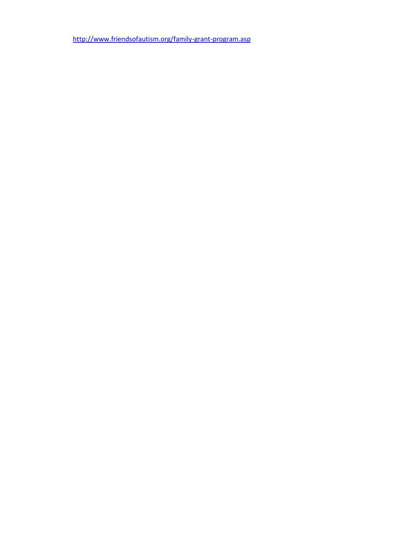<http://www.friendsofautism.org/family-grant-program.asp>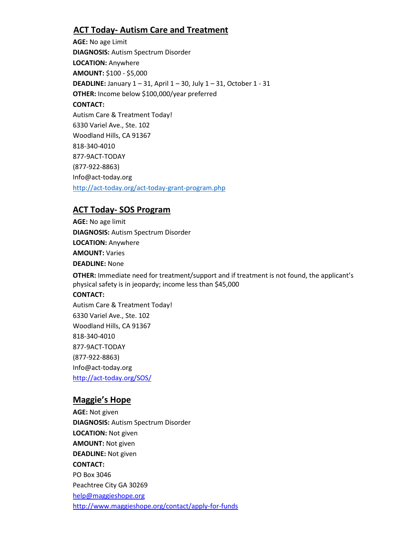### **ACT Today- Autism Care and Treatment**

**AGE:** No age Limit **DIAGNOSIS:** Autism Spectrum Disorder **LOCATION:** Anywhere **AMOUNT:** \$100 - \$5,000 **DEADLINE:** January 1 – 31, April 1 – 30, July 1 – 31, October 1 - 31 **OTHER:** Income below \$100,000/year preferred **CONTACT:** Autism Care & Treatment Today! 6330 Variel Ave., Ste. 102 Woodland Hills, CA 91367 818-340-4010 877-9ACT-TODAY (877-922-8863) Info@act-today.org <http://act-today.org/act-today-grant-program.php>

### **ACT Today- SOS Program**

**AGE:** No age limit **DIAGNOSIS:** Autism Spectrum Disorder **LOCATION:** Anywhere **AMOUNT:** Varies **DEADLINE:** None

**OTHER:** Immediate need for treatment/support and if treatment is not found, the applicant's physical safety is in jeopardy; income less than \$45,000

#### **CONTACT:**

Autism Care & Treatment Today! 6330 Variel Ave., Ste. 102 Woodland Hills, CA 91367 818-340-4010 877-9ACT-TODAY (877-922-8863) Info@act-today.org <http://act-today.org/SOS/>

### **Maggie's Hope**

**AGE:** Not given **DIAGNOSIS:** Autism Spectrum Disorder **LOCATION:** Not given **AMOUNT:** Not given **DEADLINE:** Not given **CONTACT:** PO Box 3046 Peachtree City GA 30269 [help@maggieshope.org](mailto:help@maggieshope.org) <http://www.maggieshope.org/contact/apply-for-funds>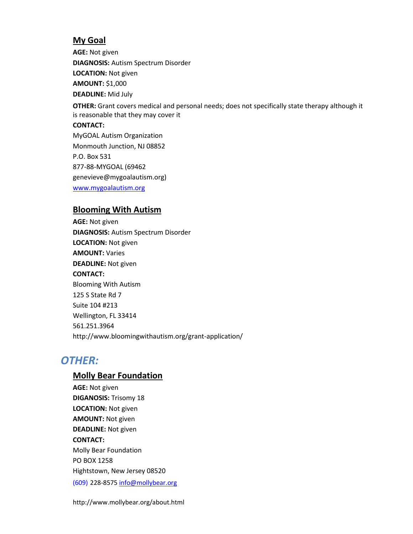### **My Goal**

**AGE:** Not given **DIAGNOSIS:** Autism Spectrum Disorder **LOCATION:** Not given **AMOUNT:** \$1,000 **DEADLINE:** Mid July

**OTHER:** Grant covers medical and personal needs; does not specifically state therapy although it is reasonable that they may cover it

#### **CONTACT:**

MyGOAL Autism Organization Monmouth Junction, NJ 08852 P.O. Box 531 877-88-MYGOAL (69462 genevieve@mygoalautism.org) [www.mygoalautism.org](http://www.mygoalautism.org/)

#### **Blooming With Autism**

**AGE:** Not given **DIAGNOSIS:** Autism Spectrum Disorder **LOCATION:** Not given **AMOUNT:** Varies **DEADLINE:** Not given **CONTACT:** Blooming With Autism 125 S State Rd 7 Suite 104 #213 Wellington, FL 33414 561.251.3964 http://www.bloomingwithautism.org/grant-application/

# *OTHER:*

### **Molly Bear Foundation**

**AGE:** Not given **DIGANOSIS:** Trisomy 18 **LOCATION:** Not given **AMOUNT:** Not given **DEADLINE:** Not given **CONTACT:** Molly Bear Foundation PO BOX 1258 Hightstown, New Jersey 08520 (609) 228-857[5 info@mollybear.org](mailto:info@mollybear.org)